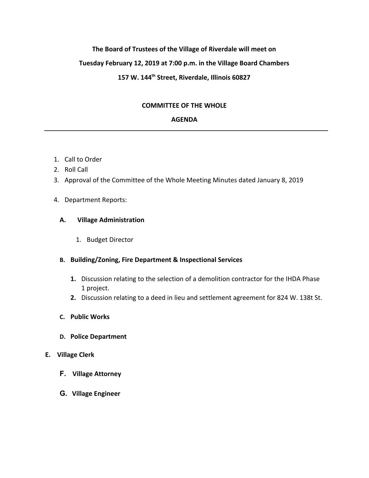# **The Board of Trustees of the Village of Riverdale will meet on Tuesday February 12, 2019 at 7:00 p.m. in the Village Board Chambers 157 W. 144th Street, Riverdale, Illinois 60827**

# **COMMITTEE OF THE WHOLE**

# **AGENDA**

- 1. Call to Order
- 2. Roll Call
- 3. Approval of the Committee of the Whole Meeting Minutes dated January 8, 2019

## 4. Department Reports:

#### **A. Village Administration**

1. Budget Director

## **B. Building/Zoning, Fire Department & Inspectional Services**

- **1.** Discussion relating to the selection of a demolition contractor for the IHDA Phase 1 project.
- **2.** Discussion relating to a deed in lieu and settlement agreement for 824 W. 138t St.
- **C. Public Works**
- **D. Police Department**

## **E. Village Clerk**

- **F. Village Attorney**
- **G. Village Engineer**